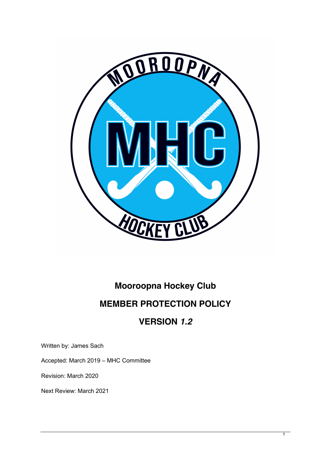

# **Mooroopna Hockey Club MEMBER PROTECTION POLICY**

# **VERSION** *1.2*

Written by: James Sach

Accepted: March 2019 – MHC Committee

Revision: March 2020

Next Review: March 2021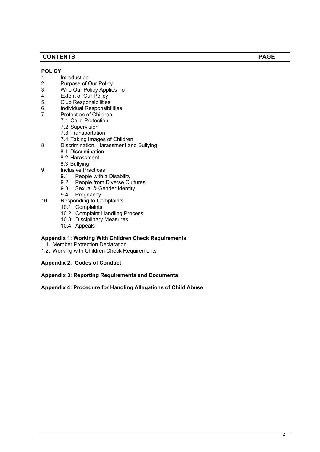## **CONTENTS PAGE**

#### **POLICY**

- 1. Introduction
- 2. Purpose of Our Policy
- 3. Who Our Policy Applies To
- 4. Extent of Our Policy
- 5. Club Responsibilities
- 6. Individual Responsibilities<br>7. Protection of Children
- Protection of Children
	- 7.1 Child Protection
	- 7.2 Supervision
	- 7.3 Transportation
	- 7.4 Taking Images of Children
- 8. Discrimination, Harassment and Bullying
	- 8.1 Discrimination
	- 8.2 Harassment
	- 8.3 Bullying
- 9. Inclusive Practices
	- 9.1 People with a Disability
	- 9.2 People from Diverse Cultures
	- 9.3 Sexual & Gender Identity
	- 9.4 Pregnancy
- 10. Responding to Complaints
	- 10.1 Complaints
	- 10.2 Complaint Handling Process
	- 10.3 Disciplinary Measures
	- 10.4 Appeals

#### **Appendix 1: Working With Children Check Requirements**

- 1.1. Member Protection Declaration
- 1.2. Working with Children Check Requirements
- **Appendix 2: Codes of Conduct**

#### **Appendix 3: Reporting Requirements and Documents**

#### **Appendix 4: Procedure for Handling Allegations of Child Abuse**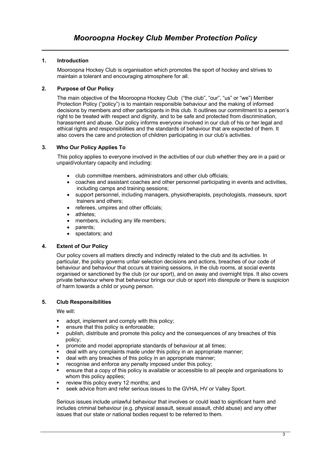### **1. Introduction**

Mooroopna Hockey Club is organisation which promotes the sport of hockey and strives to maintain a tolerant and encouraging atmosphere for all.

### **2. Purpose of Our Policy**

The main objective of the Mooroopna Hockey Club ("the club", "our", "us" or "we") Member Protection Policy ("policy") is to maintain responsible behaviour and the making of informed decisions by members and other participants in this club. It outlines our commitment to a person's right to be treated with respect and dignity, and to be safe and protected from discrimination, harassment and abuse. Our policy informs everyone involved in our club of his or her legal and ethical rights and responsibilities and the standards of behaviour that are expected of them. It also covers the care and protection of children participating in our club's activities.

#### **3. Who Our Policy Applies To**

This policy applies to everyone involved in the activities of our club whether they are in a paid or unpaid/voluntary capacity and including:

- club committee members, administrators and other club officials;
- coaches and assistant coaches and other personnel participating in events and activities, including camps and training sessions;
- support personnel, including managers, physiotherapists, psychologists, masseurs, sport trainers and others;
- referees, umpires and other officials;
- athletes:
- members, including any life members;
- parents;
- spectators; and

#### **4. Extent of Our Policy**

Our policy covers all matters directly and indirectly related to the club and its activities. In particular, the policy governs unfair selection decisions and actions, breaches of our code of behaviour and behaviour that occurs at training sessions, in the club rooms, at social events organised or sanctioned by the club (or our sport), and on away and overnight trips. It also covers private behaviour where that behaviour brings our club or sport into disrepute or there is suspicion of harm towards a child or young person.

#### **5. Club Responsibilities**

We will:

- adopt, implement and comply with this policy:
- ensure that this policy is enforceable;
- publish, distribute and promote this policy and the consequences of any breaches of this policy;
- promote and model appropriate standards of behaviour at all times;
- deal with any complaints made under this policy in an appropriate manner;
- deal with any breaches of this policy in an appropriate manner;
- recognise and enforce any penalty imposed under this policy;
- § ensure that a copy of this policy is available or accessible to all people and organisations to whom this policy applies;
- review this policy every 12 months; and
- seek advice from and refer serious issues to the GVHA, HV or Valley Sport.

Serious issues include unlawful behaviour that involves or could lead to significant harm and includes criminal behaviour (e.g. physical assault, sexual assault, child abuse) and any other issues that our state or national bodies request to be referred to them.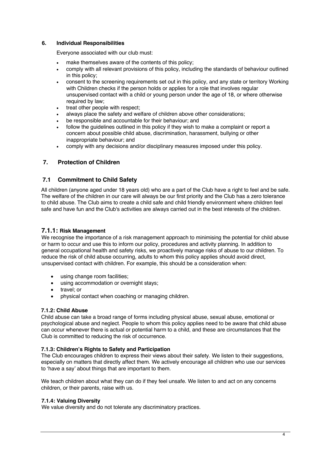#### **6. Individual Responsibilities**

Everyone associated with our club must:

- make themselves aware of the contents of this policy;
- comply with all relevant provisions of this policy, including the standards of behaviour outlined in this policy;
- consent to the screening requirements set out in this policy, and any state or territory Working with Children checks if the person holds or applies for a role that involves regular unsupervised contact with a child or young person under the age of 18, or where otherwise required by law;
- treat other people with respect;
- always place the safety and welfare of children above other considerations;
- be responsible and accountable for their behaviour; and
- follow the quidelines outlined in this policy if they wish to make a complaint or report a concern about possible child abuse, discrimination, harassment, bullying or other inappropriate behaviour; and
- comply with any decisions and/or disciplinary measures imposed under this policy.

## **7. Protection of Children**

#### **7.1 Commitment to Child Safety**

All children (anyone aged under 18 years old) who are a part of the Club have a right to feel and be safe. The welfare of the children in our care will always be our first priority and the Club has a zero tolerance to child abuse. The Club aims to create a child safe and child friendly environment where children feel safe and have fun and the Club's activities are always carried out in the best interests of the children.

#### **7.1.1: Risk Management**

We recognise the importance of a risk management approach to minimising the potential for child abuse or harm to occur and use this to inform our policy, procedures and activity planning. In addition to general occupational health and safety risks, we proactively manage risks of abuse to our children. To reduce the risk of child abuse occurring, adults to whom this policy applies should avoid direct, unsupervised contact with children. For example, this should be a consideration when:

- using change room facilities;
- using accommodation or overnight stays;
- travel; or
- physical contact when coaching or managing children.

#### **7.1.2: Child Abuse**

Child abuse can take a broad range of forms including physical abuse, sexual abuse, emotional or psychological abuse and neglect. People to whom this policy applies need to be aware that child abuse can occur whenever there is actual or potential harm to a child, and these are circumstances that the Club is committed to reducing the risk of occurrence.

#### **7.1.3: Children's Rights to Safety and Participation**

The Club encourages children to express their views about their safety. We listen to their suggestions, especially on matters that directly affect them. We actively encourage all children who use our services to 'have a say' about things that are important to them.

We teach children about what they can do if they feel unsafe. We listen to and act on any concerns children, or their parents, raise with us.

#### **7.1.4: Valuing Diversity**

We value diversity and do not tolerate any discriminatory practices.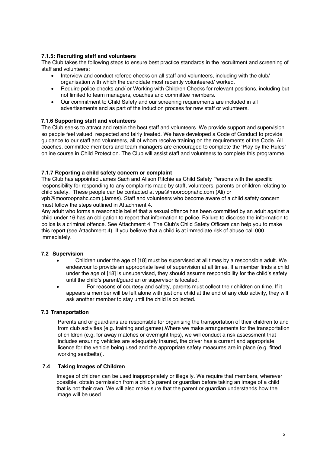#### **7.1.5: Recruiting staff and volunteers**

The Club takes the following steps to ensure best practice standards in the recruitment and screening of staff and volunteers:

- Interview and conduct referee checks on all staff and volunteers, including with the club/ organisation with which the candidate most recently volunteered/ worked.
- Require police checks and/ or Working with Children Checks for relevant positions, including but not limited to team managers, coaches and committee members.
- Our commitment to Child Safety and our screening requirements are included in all advertisements and as part of the induction process for new staff or volunteers.

#### **7.1.6 Supporting staff and volunteers**

The Club seeks to attract and retain the best staff and volunteers. We provide support and supervision so people feel valued, respected and fairly treated. We have developed a Code of Conduct to provide guidance to our staff and volunteers, all of whom receive training on the requirements of the Code. All coaches, committee members and team managers are encouraged to complete the 'Play by the Rules' online course in Child Protection. The Club will assist staff and volunteers to complete this programme.

#### **7.1.7 Reporting a child safety concern or complaint**

The Club has appointed James Sach and Alison Ritchie as Child Safety Persons with the specific responsibility for responding to any complaints made by staff, volunteers, parents or children relating to child safety. These people can be contacted at vpa@mooroopnahc.com (Ali) or vpb@mooroopnahc.com (James). Staff and volunteers who become aware of a child safety concern must follow the steps outlined in Attachment 4.

Any adult who forms a reasonable belief that a sexual offence has been committed by an adult against a child under 16 has an obligation to report that information to police. Failure to disclose the information to police is a criminal offence. See Attachment 4. The Club's Child Safety Officers can help you to make this report (see Attachment 4). If you believe that a child is at immediate risk of abuse call 000 immediately.

#### **7.2 Supervision**

- Children under the age of [18] must be supervised at all times by a responsible adult. We endeavour to provide an appropriate level of supervision at all times. If a member finds a child under the age of [18] is unsupervised, they should assume responsibility for the child's safety until the child's parent/guardian or supervisor is located.
- For reasons of courtesy and safety, parents must collect their children on time. If it appears a member will be left alone with just one child at the end of any club activity, they will ask another member to stay until the child is collected.

#### **7.3 Transportation**

Parents and or guardians are responsible for organising the transportation of their children to and from club activities (e.g. training and games).Where we make arrangements for the transportation of children (e.g. for away matches or overnight trips), we will conduct a risk assessment that includes ensuring vehicles are adequately insured, the driver has a current and appropriate licence for the vehicle being used and the appropriate safety measures are in place (e.g. fitted working seatbelts)].

#### **7.4 Taking Images of Children**

Images of children can be used inappropriately or illegally. We require that members, wherever possible, obtain permission from a child's parent or guardian before taking an image of a child that is not their own. We will also make sure that the parent or guardian understands how the image will be used.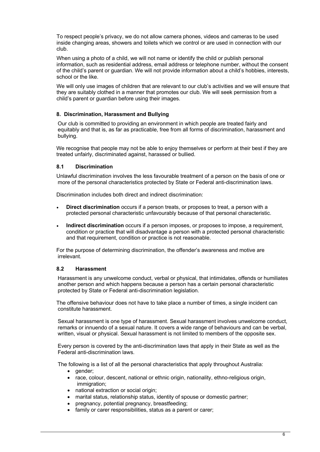To respect people's privacy, we do not allow camera phones, videos and cameras to be used inside changing areas, showers and toilets which we control or are used in connection with our club.

When using a photo of a child, we will not name or identify the child or publish personal information, such as residential address, email address or telephone number, without the consent of the child's parent or guardian. We will not provide information about a child's hobbies, interests, school or the like.

We will only use images of children that are relevant to our club's activities and we will ensure that they are suitably clothed in a manner that promotes our club. We will seek permission from a child's parent or guardian before using their images.

#### **8. Discrimination, Harassment and Bullying**

Our club is committed to providing an environment in which people are treated fairly and equitably and that is, as far as practicable, free from all forms of discrimination, harassment and bullying.

We recognise that people may not be able to enjoy themselves or perform at their best if they are treated unfairly, discriminated against, harassed or bullied.

#### **8.1 Discrimination**

Unlawful discrimination involves the less favourable treatment of a person on the basis of one or more of the personal characteristics protected by State or Federal anti-discrimination laws.

Discrimination includes both direct and indirect discrimination:

- **Direct discrimination** occurs if a person treats, or proposes to treat, a person with a protected personal characteristic unfavourably because of that personal characteristic.
- **Indirect discrimination** occurs if a person imposes, or proposes to impose, a requirement, condition or practice that will disadvantage a person with a protected personal characteristic and that requirement, condition or practice is not reasonable.

For the purpose of determining discrimination, the offender's awareness and motive are irrelevant.

#### **8.2 Harassment**

Harassment is any unwelcome conduct, verbal or physical, that intimidates, offends or humiliates another person and which happens because a person has a certain personal characteristic protected by State or Federal anti-discrimination legislation.

The offensive behaviour does not have to take place a number of times, a single incident can constitute harassment.

Sexual harassment is one type of harassment. Sexual harassment involves unwelcome conduct, remarks or innuendo of a sexual nature. It covers a wide range of behaviours and can be verbal, written, visual or physical. Sexual harassment is not limited to members of the opposite sex.

Every person is covered by the anti-discrimination laws that apply in their State as well as the Federal anti-discrimination laws.

The following is a list of all the personal characteristics that apply throughout Australia:

- gender;
- race, colour, descent, national or ethnic origin, nationality, ethno-religious origin, immigration:
- national extraction or social origin:
- marital status, relationship status, identity of spouse or domestic partner;
- pregnancy, potential pregnancy, breastfeeding;
- family or carer responsibilities, status as a parent or carer;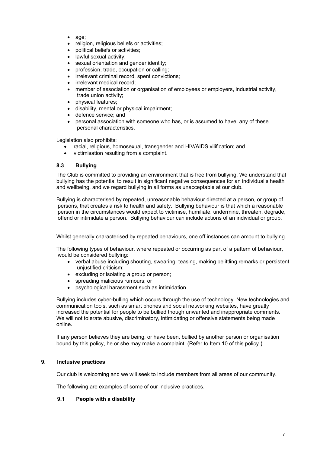- age;
- religion, religious beliefs or activities;
- political beliefs or activities;
- lawful sexual activity:
- sexual orientation and gender identity;
- profession, trade, occupation or calling;
- irrelevant criminal record, spent convictions;
- irrelevant medical record:
- member of association or organisation of employees or employers, industrial activity, trade union activity;
- physical features;
- disability, mental or physical impairment;
- defence service; and
- personal association with someone who has, or is assumed to have, any of these personal characteristics.

Legislation also prohibits:

- racial, religious, homosexual, transgender and HIV/AIDS vilification; and
- victimisation resulting from a complaint.

#### **8.3 Bullying**

The Club is committed to providing an environment that is free from bullying. We understand that bullying has the potential to result in significant negative consequences for an individual's health and wellbeing, and we regard bullying in all forms as unacceptable at our club.

Bullying is characterised by repeated, unreasonable behaviour directed at a person, or group of persons, that creates a risk to health and safety. Bullying behaviour is that which a reasonable person in the circumstances would expect to victimise, humiliate, undermine, threaten, degrade, offend or intimidate a person. Bullying behaviour can include actions of an individual or group.

Whilst generally characterised by repeated behaviours, one off instances can amount to bullying.

The following types of behaviour, where repeated or occurring as part of a pattern of behaviour, would be considered bullying:

- verbal abuse including shouting, swearing, teasing, making belittling remarks or persistent unjustified criticism;
- excluding or isolating a group or person;
- spreading malicious rumours; or
- psychological harassment such as intimidation.

Bullying includes cyber-bulling which occurs through the use of technology. New technologies and communication tools, such as smart phones and social networking websites, have greatly increased the potential for people to be bullied though unwanted and inappropriate comments. We will not tolerate abusive, discriminatory, intimidating or offensive statements being made online.

If any person believes they are being, or have been, bullied by another person or organisation bound by this policy, he or she may make a complaint. (Refer to Item 10 of this policy.)

#### **9. Inclusive practices**

Our club is welcoming and we will seek to include members from all areas of our community.

The following are examples of some of our inclusive practices.

#### **9.1 People with a disability**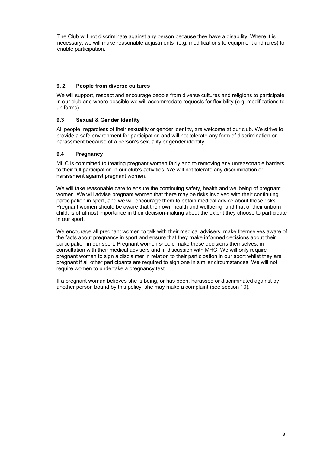The Club will not discriminate against any person because they have a disability. Where it is necessary, we will make reasonable adjustments (e.g. modifications to equipment and rules) to enable participation.

#### **9. 2 People from diverse cultures**

We will support, respect and encourage people from diverse cultures and religions to participate in our club and where possible we will accommodate requests for flexibility (e.g. modifications to uniforms).

#### **9.3 Sexual & Gender Identity**

All people, regardless of their sexuality or gender identity, are welcome at our club. We strive to provide a safe environment for participation and will not tolerate any form of discrimination or harassment because of a person's sexuality or gender identity.

#### **9.4 Pregnancy**

MHC is committed to treating pregnant women fairly and to removing any unreasonable barriers to their full participation in our club's activities. We will not tolerate any discrimination or harassment against pregnant women.

We will take reasonable care to ensure the continuing safety, health and wellbeing of pregnant women. We will advise pregnant women that there may be risks involved with their continuing participation in sport, and we will encourage them to obtain medical advice about those risks. Pregnant women should be aware that their own health and wellbeing, and that of their unborn child, is of utmost importance in their decision-making about the extent they choose to participate in our sport.

We encourage all pregnant women to talk with their medical advisers, make themselves aware of the facts about pregnancy in sport and ensure that they make informed decisions about their participation in our sport. Pregnant women should make these decisions themselves, in consultation with their medical advisers and in discussion with MHC. We will only require pregnant women to sign a disclaimer in relation to their participation in our sport whilst they are pregnant if all other participants are required to sign one in similar circumstances. We will not require women to undertake a pregnancy test.

If a pregnant woman believes she is being, or has been, harassed or discriminated against by another person bound by this policy, she may make a complaint (see section 10).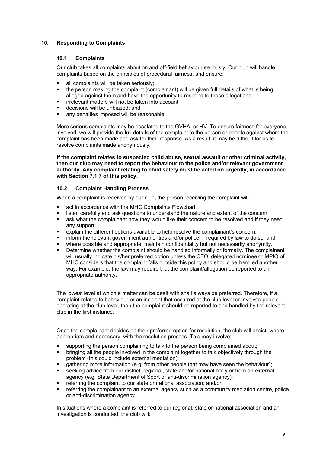#### **10. Responding to Complaints**

#### **10.1 Complaints**

Our club takes all complaints about on and off-field behaviour seriously. Our club will handle complaints based on the principles of procedural fairness, and ensure:

- all complaints will be taken seriously;
- the person making the complaint (complainant) will be given full details of what is being alleged against them and have the opportunity to respond to those allegations;
- irrelevant matters will not be taken into account;
- decisions will be unbiased; and
- any penalties imposed will be reasonable.

More serious complaints may be escalated to the GVHA, or HV. To ensure fairness for everyone involved, we will provide the full details of the complaint to the person or people against whom the complaint has been made and ask for their response. As a result, it may be difficult for us to resolve complaints made anonymously.

**If the complaint relates to suspected child abuse, sexual assault or other criminal activity, then our club may need to report the behaviour to the police and/or relevant government authority. Any complaint relating to child safety must be acted on urgently, in accordance with Section 7.1.7 of this policy.**

#### **10.2 Complaint Handling Process**

When a complaint is received by our club, the person receiving the complaint will:

- act in accordance with the MHC Complaints Flowchart
- listen carefully and ask questions to understand the nature and extent of the concern;
- **■** ask what the complainant how they would like their concern to be resolved and if they need any support;
- explain the different options available to help resolve the complainant's concern;
- inform the relevant government authorities and/or police, if required by law to do so; and
- where possible and appropriate, maintain confidentiality but not necessarily anonymity.
- Determine whether the complaint should be handled informally or formally. The complainant will usually indicate his/her preferred option unless the CEO, delegated nominee or MPIO of MHC considers that the complaint falls outside this policy and should be handled another way. For example, the law may require that the complaint/allegation be reported to an appropriate authority.

The lowest level at which a matter can be dealt with shall always be preferred. Therefore, if a complaint relates to behaviour or an incident that occurred at the club level or involves people operating at the club level, then the complaint should be reported to and handled by the relevant club in the first instance.

Once the complainant decides on their preferred option for resolution, the club will assist, where appropriate and necessary, with the resolution process. This may involve:

- § supporting the person complaining to talk to the person being complained about;
- bringing all the people involved in the complaint together to talk objectively through the problem (this could include external mediation);
- **•** gathering more information (e.g. from other people that may have seen the behaviour);
- § seeking advice from our district, regional, state and/or national body or from an external agency (e.g. State Department of Sport or anti-discrimination agency);
- § referring the complaint to our state or national association; and/or
- referring the complainant to an external agency such as a community mediation centre, police or anti-discrimination agency.

In situations where a complaint is referred to our regional, state or national association and an investigation is conducted, the club will: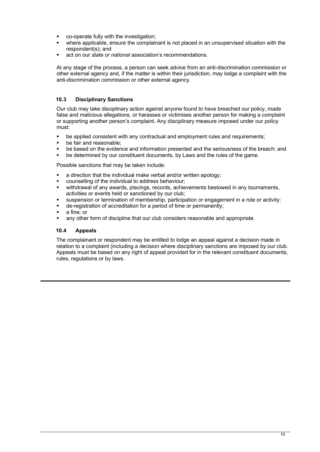- § co-operate fully with the investigation;
- where applicable, ensure the complainant is not placed in an unsupervised situation with the respondent(s); and
- act on our *state or national* association's recommendations.

At any stage of the process, a person can seek advice from an anti-discrimination commission or other external agency and, if the matter is within their jurisdiction, may lodge a complaint with the anti-discrimination commission or other external agency.

#### **10.3 Disciplinary Sanctions**

Our club may take disciplinary action against anyone found to have breached our policy, made false and malicious allegations, or harasses or victimises another person for making a complaint or supporting another person's complaint**.** Any disciplinary measure imposed under our policy must:

- be applied consistent with any contractual and employment rules and requirements;
- be fair and reasonable:
- be based on the evidence and information presented and the seriousness of the breach; and
- be determined by our constituent documents, by Laws and the rules of the game.

Possible sanctions that may be taken include:

- a direction that the individual make verbal and/or written apology;
- § counselling of the individual to address behaviour;
- withdrawal of any awards, placings, records, achievements bestowed in any tournaments, activities or events held or sanctioned by our club;
- **•** suspension or termination of membership, participation or engagement in a role or activity;
- de-registration of accreditation for a period of time or permanently;
- a fine; or
- **any other form of discipline that our club considers reasonable and appropriate.**

#### **10.4 Appeals**

The complainant or respondent may be entitled to lodge an appeal against a decision made in relation to a complaint (including a decision where disciplinary sanctions are imposed by our club. Appeals must be based on any right of appeal provided for in the relevant constituent documents, rules, regulations or by laws.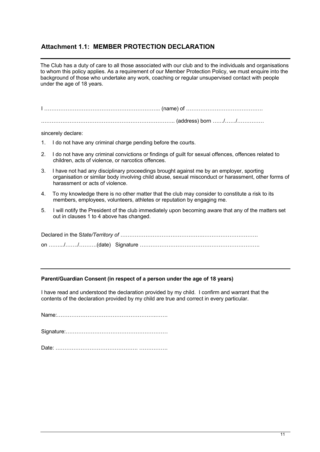## **Attachment 1.1: MEMBER PROTECTION DECLARATION**

The Club has a duty of care to all those associated with our club and to the individuals and organisations to whom this policy applies. As a requirement of our Member Protection Policy, we must enquire into the background of those who undertake any work, coaching or regular unsupervised contact with people under the age of 18 years.

I ……………………………………………………….. (name) of …………………………………….

.……………………………………………………………….. (address) born ……/……/……………

sincerely declare:

- 1. I do not have any criminal charge pending before the courts.
- 2. I do not have any criminal convictions or findings of guilt for sexual offences, offences related to children, acts of violence, or narcotics offences.
- 3. I have not had any disciplinary proceedings brought against me by an employer, sporting organisation or similar body involving child abuse, sexual misconduct or harassment, other forms of harassment or acts of violence.
- 4. To my knowledge there is no other matter that the club may consider to constitute a risk to its members, employees, volunteers, athletes or reputation by engaging me.
- 5. I will notify the President of the club immediately upon becoming aware that any of the matters set out in clauses 1 to 4 above has changed.

#### **Parent/Guardian Consent (in respect of a person under the age of 18 years)**

I have read and understood the declaration provided by my child. I confirm and warrant that the contents of the declaration provided by my child are true and correct in every particular.

Name:……………………………………………….…….

Signature:…………………………………………………

Date: ………………………………………. …………….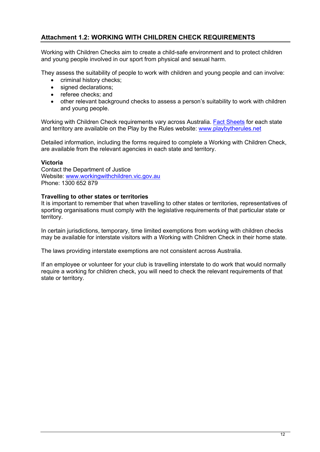## **Attachment 1.2: WORKING WITH CHILDREN CHECK REQUIREMENTS**

Working with Children Checks aim to create a child-safe environment and to protect children and young people involved in our sport from physical and sexual harm.

They assess the suitability of people to work with children and young people and can involve:

- criminal history checks;
- signed declarations:
- referee checks; and
- other relevant background checks to assess a person's suitability to work with children and young people.

Working with Children Check requirements vary across Australia. Fact Sheets for each state and territory are available on the Play by the Rules website: www.playbytherules.net

Detailed information, including the forms required to complete a Working with Children Check, are available from the relevant agencies in each state and territory.

#### **Victoria**

Contact the Department of Justice Website: www.workingwithchildren.vic.gov.au Phone: 1300 652 879

#### **Travelling to other states or territories**

It is important to remember that when travelling to other states or territories, representatives of sporting organisations must comply with the legislative requirements of that particular state or territory.

In certain jurisdictions, temporary, time limited exemptions from working with children checks may be available for interstate visitors with a Working with Children Check in their home state.

The laws providing interstate exemptions are not consistent across Australia.

If an employee or volunteer for your club is travelling interstate to do work that would normally require a working for children check, you will need to check the relevant requirements of that state or territory.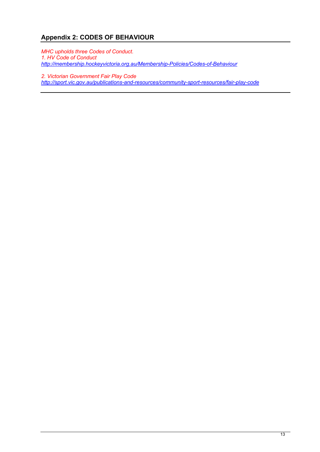# **Appendix 2: CODES OF BEHAVIOUR**

*MHC upholds three Codes of Conduct. 1. HV Code of Conduct http://membership.hockeyvictoria.org.au/Membership-Policies/Codes-of-Behaviour*

*2. Victorian Government Fair Play Code http://sport.vic.gov.au/publications-and-resources/community-sport-resources/fair-play-code*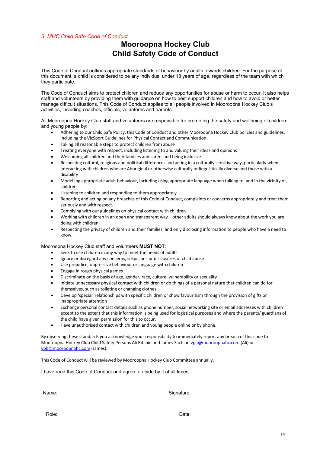#### *3. MHC Child Safe Code of Conduct*

# **Mooroopna Hockey Club Child Safety Code of Conduct**

This Code of Conduct outlines appropriate standards of behaviour by adults towards children. For the purpose of this document, a child is considered to be any individual under 18 years of age, regardless of the team with which they participate.

The Code of Conduct aims to protect children and reduce any opportunities for abuse or harm to occur. It also helps staff and volunteers by providing them with guidance on how to best support children and how to avoid or better manage difficult situations. This Code of Conduct applies to all people involved in Mooroopna Hockey Club's activities, including coaches, officials, volunteers and parents.

All Mooroopna Hockey Club staff and volunteers are responsible for promoting the safety and wellbeing of children and young people by:

- Adhering to our Child Safe Policy, this Code of Conduct and other Mooroopna Hockey Club policies and guidelines, including the VicSport Guidelines for Physical Contact and Communication.
- Taking all reasonable steps to protect children from abuse
- Treating everyone with respect, including listening to and valuing their ideas and opinions
- Welcoming all children and their families and carers and being inclusive
- Respecting cultural, religious and political differences and acting in a culturally sensitive way, particularly when interacting with children who are Aboriginal or otherwise culturally or linguistically diverse and those with a disability
- Modelling appropriate adult behaviour, including using appropriate language when talking to, and in the vicinity of, children
- Listening to children and responding to them appropriately
- Reporting and acting on any breaches of this Code of Conduct, complaints or concerns appropriately and treat them seriously and with respect.
- Complying with our guidelines on physical contact with children
- Working with children in an open and transparent way other adults should always know about the work you are doing with children
- Respecting the privacy of children and their families, and only disclosing information to people who have a need to know.

#### Mooroopna Hockey Club staff and volunteers **MUST NOT**:

- Seek to use children in any way to meet the needs of adults
- Ignore or disregard any concerns, suspicions or disclosures of child abuse
- Use prejudice, oppressive behaviour or language with children
- Engage in rough physical games
- Discriminate on the basis of age, gender, race, culture, vulnerability or sexuality
- Initiate unnecessary physical contact with children or do things of a personal nature that children can do for themselves, such as toileting or changing clothes
- Develop 'special' relationships with specific children or show favouritism through the provision of gifts or inappropriate attention
- Exchange personal contact details such as phone number, social networking site or email addresses with children except to the extent that this information is being used for logistical purposes and where the parents/ guardians of the child have given permission for this to occur.
- Have unauthorised contact with children and young people online or by phone.

By observing these standards you acknowledge your responsibility to immediately report any breach of this code to Mooroopna Hockey Club Child Safety Persons Ali Ritchie and James Sach on vpa@mooroopnahc.com (Ali) or vpb@mooroopnahc.com (James).

This Code of Conduct will be reviewed by Mooroopna Hockey Club Committee annually.

I have read this Code of Conduct and agree to abide by it at all times.

| Name: | Signature: |  |
|-------|------------|--|
| Role: | Date:      |  |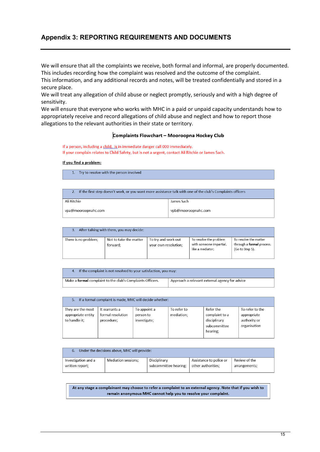## **Appendix 3: REPORTING REQUIREMENTS AND DOCUMENTS**

We will ensure that all the complaints we receive, both formal and informal, are properly documented. This includes recording how the complaint was resolved and the outcome of the complaint.

This information, and any additional records and notes, will be treated confidentially and stored in a secure place.

We will treat any allegation of child abuse or neglect promptly, seriously and with a high degree of sensitivity.

We will ensure that everyone who works with MHC in a paid or unpaid capacity understands how to appropriately receive and record allegations of child abuse and neglect and how to report those allegations to the relevant authorities in their state or territory.

#### Complaints Flowchart - Mooroopna Hockey Club

If a person, including a child is in immediate danger call 000 immediately. If your complain relates to Child Safety, but is not a urgent, contact Ali Ritchie or James Sach.

#### If you find a problem:

1. Try to resolve with the person involved

| If the first step doesn't work, or you want more assistance talk with one of the club's Complaints officers |                     |  |
|-------------------------------------------------------------------------------------------------------------|---------------------|--|
| Ali Ritchie                                                                                                 | James Sach          |  |
| vpa@mooroopnahc.com                                                                                         | vpb@mooroopnahc.com |  |

|                      | After talking with them, you may decide: |                                             |                                                                       |                                                                       |
|----------------------|------------------------------------------|---------------------------------------------|-----------------------------------------------------------------------|-----------------------------------------------------------------------|
| There is no problem; | Not to take the matter<br>forward:       | To try and work out<br>your own resolution; | To resolve the problem<br>with someone impartial,<br>like a mediator: | To resolve the matter<br>through a formal process.<br>(Go to Step 5). |

| 4. If the complaint is not resolved to your satisfaction, you may: |                                                |  |
|--------------------------------------------------------------------|------------------------------------------------|--|
| Make a <b>formal</b> complaint to the club's Complaints Officers.  | Approach a relevant external agency for advice |  |

| If a formal complaint is made. MHC will decide whether:<br>5. |                                                  |                                           |                           |                                                                         |                                                                |
|---------------------------------------------------------------|--------------------------------------------------|-------------------------------------------|---------------------------|-------------------------------------------------------------------------|----------------------------------------------------------------|
| They are the most<br>appropriate entity<br>to handle it:      | It warrants a<br>formal resolution<br>procedure: | To appoint a<br>person to<br>investigate; | To refer to<br>mediation: | Refer the<br>complaint to a<br>disciplinary<br>subcommittee<br>hearing: | To refer to the<br>appropriate<br>authority or<br>organisation |

|                     | 6. Under the decisions above, MHC will provide: |                       |                         |               |
|---------------------|-------------------------------------------------|-----------------------|-------------------------|---------------|
| Investigation and a | Mediation sessions;                             | Disciplinary          | Assistance to police or | Review of the |
| written report;     |                                                 | subcommittee hearing: | other authorities:      | arrangements; |

At any stage a complainant may choose to refer a complaint to an external agency. Note that if you wish to remain anonymous MHC cannot help you to resolve your complaint.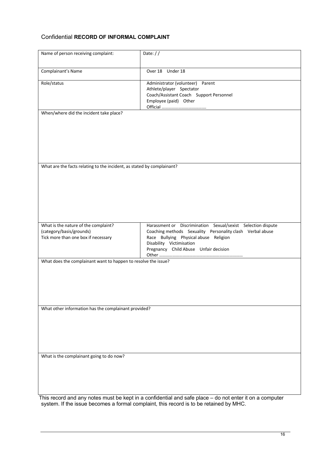## Confidential **RECORD OF INFORMAL COMPLAINT**

| Name of person receiving complaint:                                                                     | Date: $//$                                                                                                                                                                                                                              |
|---------------------------------------------------------------------------------------------------------|-----------------------------------------------------------------------------------------------------------------------------------------------------------------------------------------------------------------------------------------|
| Complainant's Name                                                                                      | Over 18 Under 18                                                                                                                                                                                                                        |
| Role/status                                                                                             | Administrator (volunteer) Parent<br>Athlete/player Spectator<br>Coach/Assistant Coach Support Personnel<br>Employee (paid) Other                                                                                                        |
| When/where did the incident take place?                                                                 |                                                                                                                                                                                                                                         |
|                                                                                                         |                                                                                                                                                                                                                                         |
|                                                                                                         |                                                                                                                                                                                                                                         |
|                                                                                                         |                                                                                                                                                                                                                                         |
|                                                                                                         |                                                                                                                                                                                                                                         |
| What are the facts relating to the incident, as stated by complainant?                                  |                                                                                                                                                                                                                                         |
|                                                                                                         |                                                                                                                                                                                                                                         |
|                                                                                                         |                                                                                                                                                                                                                                         |
|                                                                                                         |                                                                                                                                                                                                                                         |
|                                                                                                         |                                                                                                                                                                                                                                         |
|                                                                                                         |                                                                                                                                                                                                                                         |
| What is the nature of the complaint?<br>(category/basis/grounds)<br>Tick more than one box if necessary | Harassment or Discrimination Sexual/sexist Selection dispute<br>Coaching methods Sexuality Personality clash Verbal abuse<br>Race Bullying Physical abuse Religion<br>Disability Victimisation<br>Pregnancy Child Abuse Unfair decision |
| What does the complainant want to happen to resolve the issue?                                          |                                                                                                                                                                                                                                         |
|                                                                                                         |                                                                                                                                                                                                                                         |
|                                                                                                         |                                                                                                                                                                                                                                         |
|                                                                                                         |                                                                                                                                                                                                                                         |
|                                                                                                         |                                                                                                                                                                                                                                         |
| What other information has the complainant provided?                                                    |                                                                                                                                                                                                                                         |
|                                                                                                         |                                                                                                                                                                                                                                         |
|                                                                                                         |                                                                                                                                                                                                                                         |
|                                                                                                         |                                                                                                                                                                                                                                         |
| What is the complainant going to do now?                                                                |                                                                                                                                                                                                                                         |
|                                                                                                         |                                                                                                                                                                                                                                         |
|                                                                                                         |                                                                                                                                                                                                                                         |
|                                                                                                         |                                                                                                                                                                                                                                         |
|                                                                                                         | This record and any notes must be kept in a confidential and safe place - do not enter it on a computer                                                                                                                                 |
|                                                                                                         | system. If the issue becomes a formal complaint, this record is to be retained by MHC.                                                                                                                                                  |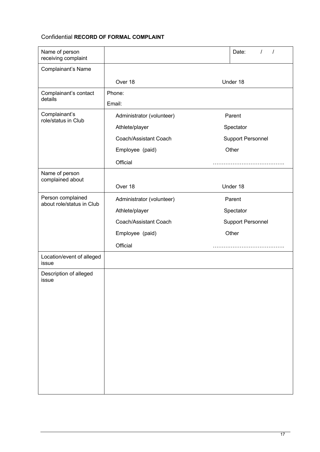## Confidential **RECORD OF FORMAL COMPLAINT**

| Name of person<br>receiving complaint          |                                     |  | Date:<br>$\prime$<br>$\prime$ |
|------------------------------------------------|-------------------------------------|--|-------------------------------|
| Complainant's Name                             |                                     |  |                               |
|                                                | Over 18                             |  | Under 18                      |
| Complainant's contact<br>details               | Phone:                              |  |                               |
|                                                | Email:                              |  |                               |
| Complainant's<br>role/status in Club           | Parent<br>Administrator (volunteer) |  |                               |
|                                                | Athlete/player                      |  | Spectator                     |
|                                                | Coach/Assistant Coach               |  | <b>Support Personnel</b>      |
|                                                | Employee (paid)                     |  | Other                         |
|                                                | Official                            |  |                               |
| Name of person<br>complained about             |                                     |  |                               |
|                                                | Over 18                             |  | Under 18                      |
| Person complained<br>about role/status in Club | Administrator (volunteer)           |  | Parent                        |
|                                                | Athlete/player                      |  | Spectator                     |
|                                                | Coach/Assistant Coach               |  | <b>Support Personnel</b>      |
|                                                | Employee (paid)                     |  | Other                         |
|                                                | Official                            |  |                               |
| Location/event of alleged<br>issue             |                                     |  |                               |
| Description of alleged                         |                                     |  |                               |
| issue                                          |                                     |  |                               |
|                                                |                                     |  |                               |
|                                                |                                     |  |                               |
|                                                |                                     |  |                               |
|                                                |                                     |  |                               |
|                                                |                                     |  |                               |
|                                                |                                     |  |                               |
|                                                |                                     |  |                               |
|                                                |                                     |  |                               |
|                                                |                                     |  |                               |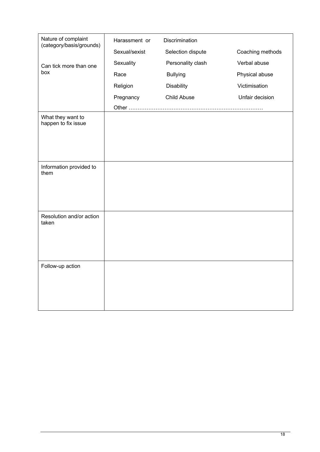| Nature of complaint<br>(category/basis/grounds) | Harassment or | Discrimination    |                  |
|-------------------------------------------------|---------------|-------------------|------------------|
|                                                 | Sexual/sexist | Selection dispute | Coaching methods |
| Can tick more than one                          | Sexuality     | Personality clash | Verbal abuse     |
| box                                             | Race          | <b>Bullying</b>   | Physical abuse   |
|                                                 | Religion      | <b>Disability</b> | Victimisation    |
|                                                 | Pregnancy     | Child Abuse       | Unfair decision  |
|                                                 |               |                   |                  |
| What they want to<br>happen to fix issue        |               |                   |                  |
| Information provided to<br>them                 |               |                   |                  |
| Resolution and/or action<br>taken               |               |                   |                  |
| Follow-up action                                |               |                   |                  |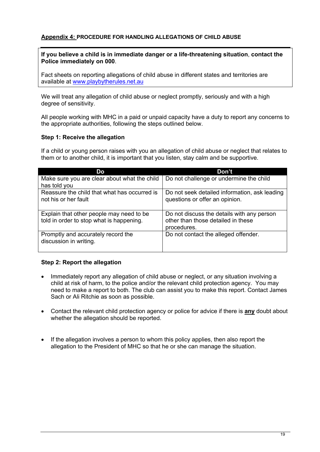### **Appendix 4: PROCEDURE FOR HANDLING ALLEGATIONS OF CHILD ABUSE**

#### **If you believe a child is in immediate danger or a life-threatening situation**, **contact the Police immediately on 000**.

Fact sheets on reporting allegations of child abuse in different states and territories are available at www.playbytherules.net.au

We will treat any allegation of child abuse or neglect promptly, seriously and with a high degree of sensitivity.

All people working with MHC in a paid or unpaid capacity have a duty to report any concerns to the appropriate authorities, following the steps outlined below.

#### **Step 1: Receive the allegation**

If a child or young person raises with you an allegation of child abuse or neglect that relates to them or to another child, it is important that you listen, stay calm and be supportive.

| Do                                                                                   | Don't                                                                                           |
|--------------------------------------------------------------------------------------|-------------------------------------------------------------------------------------------------|
| Make sure you are clear about what the child<br>has told you                         | Do not challenge or undermine the child                                                         |
| Reassure the child that what has occurred is<br>not his or her fault                 | Do not seek detailed information, ask leading<br>questions or offer an opinion.                 |
| Explain that other people may need to be<br>told in order to stop what is happening. | Do not discuss the details with any person<br>other than those detailed in these<br>procedures. |
| Promptly and accurately record the<br>discussion in writing.                         | Do not contact the alleged offender.                                                            |

#### **Step 2: Report the allegation**

- Immediately report any allegation of child abuse or neglect, or any situation involving a child at risk of harm, to the police and/or the relevant child protection agency. You may need to make a report to both. The club can assist you to make this report. Contact James Sach or Ali Ritchie as soon as possible.
- Contact the relevant child protection agency or police for advice if there is **any** doubt about whether the allegation should be reported.
- If the allegation involves a person to whom this policy applies, then also report the allegation to the President of MHC so that he or she can manage the situation.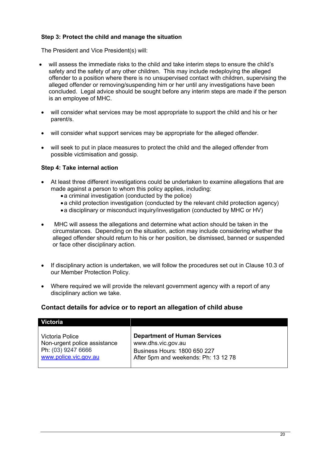## **Step 3: Protect the child and manage the situation**

The President and Vice President(s) will:

- will assess the immediate risks to the child and take interim steps to ensure the child's safety and the safety of any other children. This may include redeploying the alleged offender to a position where there is no unsupervised contact with children, supervising the alleged offender or removing/suspending him or her until any investigations have been concluded. Legal advice should be sought before any interim steps are made if the person is an employee of MHC.
- will consider what services may be most appropriate to support the child and his or her parent/s.
- will consider what support services may be appropriate for the alleged offender.
- will seek to put in place measures to protect the child and the alleged offender from possible victimisation and gossip.

#### **Step 4: Take internal action**

- At least three different investigations could be undertaken to examine allegations that are made against a person to whom this policy applies, including:
	- a criminal investigation (conducted by the police)
	- •a child protection investigation (conducted by the relevant child protection agency)
	- •a disciplinary or misconduct inquiry/investigation (conducted by MHC or HV)
- MHC will assess the allegations and determine what action should be taken in the circumstances. Depending on the situation, action may include considering whether the alleged offender should return to his or her position, be dismissed, banned or suspended or face other disciplinary action.
- If disciplinary action is undertaken, we will follow the procedures set out in Clause 10.3 of our Member Protection Policy.
- Where required we will provide the relevant government agency with a report of any disciplinary action we take.

#### **Contact details for advice or to report an allegation of child abuse**

| <b>Victoria</b>              |                                      |
|------------------------------|--------------------------------------|
| Victoria Police              | <b>Department of Human Services</b>  |
| Non-urgent police assistance | www.dhs.vic.gov.au                   |
| Ph: (03) 9247 6666           | Business Hours: 1800 650 227         |
| www.police.vic.gov.au        | After 5pm and weekends: Ph: 13 12 78 |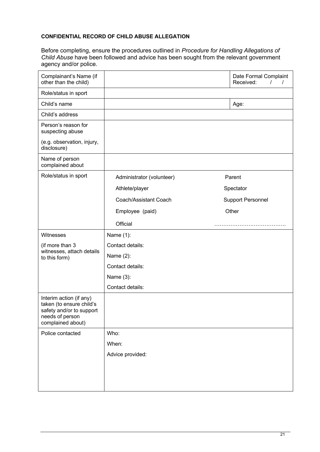#### **CONFIDENTIAL RECORD OF CHILD ABUSE ALLEGATION**

Before completing, ensure the procedures outlined in *Procedure for Handling Allegations of Child Abuse* have been followed and advice has been sought from the relevant government agency and/or police.

| Complainant's Name (if<br>other than the child)                                                                         |                           | Date Formal Complaint<br>Received:<br>$\prime$<br>$\prime$ |
|-------------------------------------------------------------------------------------------------------------------------|---------------------------|------------------------------------------------------------|
| Role/status in sport                                                                                                    |                           |                                                            |
| Child's name                                                                                                            |                           | Age:                                                       |
| Child's address                                                                                                         |                           |                                                            |
| Person's reason for<br>suspecting abuse                                                                                 |                           |                                                            |
| (e.g. observation, injury,<br>disclosure)                                                                               |                           |                                                            |
| Name of person<br>complained about                                                                                      |                           |                                                            |
| Role/status in sport                                                                                                    | Administrator (volunteer) | Parent                                                     |
|                                                                                                                         | Athlete/player            | Spectator                                                  |
|                                                                                                                         | Coach/Assistant Coach     | <b>Support Personnel</b>                                   |
|                                                                                                                         | Employee (paid)           | Other                                                      |
|                                                                                                                         | Official                  |                                                            |
| Witnesses                                                                                                               | Name (1):                 |                                                            |
| (if more than 3<br>witnesses, attach details<br>to this form)                                                           | Contact details:          |                                                            |
|                                                                                                                         | Name (2):                 |                                                            |
|                                                                                                                         | Contact details:          |                                                            |
|                                                                                                                         | Name (3):                 |                                                            |
|                                                                                                                         | Contact details:          |                                                            |
| Interim action (if any)<br>taken (to ensure child's<br>safety and/or to support<br>needs of person<br>complained about) |                           |                                                            |
| Police contacted                                                                                                        | Who:                      |                                                            |
|                                                                                                                         | When:                     |                                                            |
|                                                                                                                         | Advice provided:          |                                                            |
|                                                                                                                         |                           |                                                            |
|                                                                                                                         |                           |                                                            |
|                                                                                                                         |                           |                                                            |